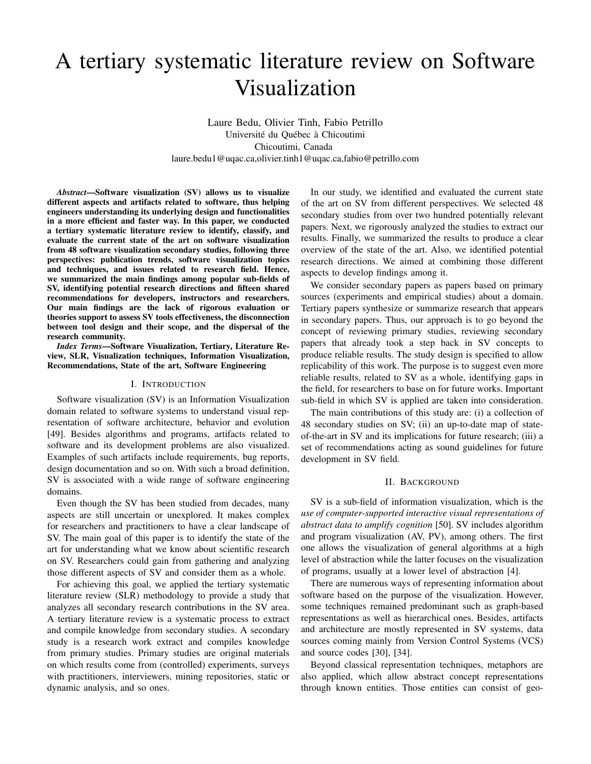# A tertiary systematic literature review on Software Visualization

Laure Bedu, Olivier Tinh, Fabio Petrillo Université du Québec à Chicoutimi Chicoutimi, Canada laure.bedu1@uqac.ca,olivier.tinh1@uqac.ca,fabio@petrillo.com

*Abstract*—Software visualization (SV) allows us to visualize different aspects and artifacts related to software, thus helping engineers understanding its underlying design and functionalities in a more efficient and faster way. In this paper, we conducted a tertiary systematic literature review to identify, classify, and evaluate the current state of the art on software visualization from 48 software visualization secondary studies, following three perspectives: publication trends, software visualization topics and techniques, and issues related to research field. Hence, we summarized the main findings among popular sub-fields of SV, identifying potential research directions and fifteen shared recommendations for developers, instructors and researchers. Our main findings are the lack of rigorous evaluation or theories support to assess SV tools effectiveness, the disconnection between tool design and their scope, and the dispersal of the research community.

*Index Terms*—Software Visualization, Tertiary, Literature Review, SLR, Visualization techniques, Information Visualization, Recommendations, State of the art, Software Engineering

## I. INTRODUCTION

Software visualization (SV) is an Information Visualization domain related to software systems to understand visual representation of software architecture, behavior and evolution [49]. Besides algorithms and programs, artifacts related to software and its development problems are also visualized. Examples of such artifacts include requirements, bug reports, design documentation and so on. With such a broad definition, SV is associated with a wide range of software engineering domains.

Even though the SV has been studied from decades, many aspects are still uncertain or unexplored. It makes complex for researchers and practitioners to have a clear landscape of SV. The main goal of this paper is to identify the state of the art for understanding what we know about scientific research on SV. Researchers could gain from gathering and analyzing those different aspects of SV and consider them as a whole.

For achieving this goal, we applied the tertiary systematic literature review (SLR) methodology to provide a study that analyzes all secondary research contributions in the SV area. A tertiary literature review is a systematic process to extract and compile knowledge from secondary studies. A secondary study is a research work extract and compiles knowledge from primary studies. Primary studies are original materials on which results come from (controlled) experiments, surveys with practitioners, interviewers, mining repositories, static or dynamic analysis, and so ones.

In our study, we identified and evaluated the current state of the art on SV from different perspectives. We selected 48 secondary studies from over two hundred potentially relevant papers. Next, we rigorously analyzed the studies to extract our results. Finally, we summarized the results to produce a clear overview of the state of the art. Also, we identified potential research directions. We aimed at combining those different aspects to develop findings among it.

We consider secondary papers as papers based on primary sources (experiments and empirical studies) about a domain. Tertiary papers synthesize or summarize research that appears in secondary papers. Thus, our approach is to go beyond the concept of reviewing primary studies, reviewing secondary papers that already took a step back in SV concepts to produce reliable results. The study design is specified to allow replicability of this work. The purpose is to suggest even more reliable results, related to SV as a whole, identifying gaps in the field, for researchers to base on for future works. Important sub-field in which SV is applied are taken into consideration.

The main contributions of this study are: (i) a collection of 48 secondary studies on SV; (ii) an up-to-date map of stateof-the-art in SV and its implications for future research; (iii) a set of recommendations acting as sound guidelines for future development in SV field.

#### II. BACKGROUND

SV is a sub-field of information visualization, which is the *use of computer-supported interactive visual representations of abstract data to amplify cognition* [50]. SV includes algorithm and program visualization (AV, PV), among others. The first one allows the visualization of general algorithms at a high level of abstraction while the latter focuses on the visualization of programs, usually at a lower level of abstraction [4].

There are numerous ways of representing information about software based on the purpose of the visualization. However, some techniques remained predominant such as graph-based representations as well as hierarchical ones. Besides, artifacts and architecture are mostly represented in SV systems, data sources coming mainly from Version Control Systems (VCS) and source codes [30], [34].

Beyond classical representation techniques, metaphors are also applied, which allow abstract concept representations through known entities. Those entities can consist of geo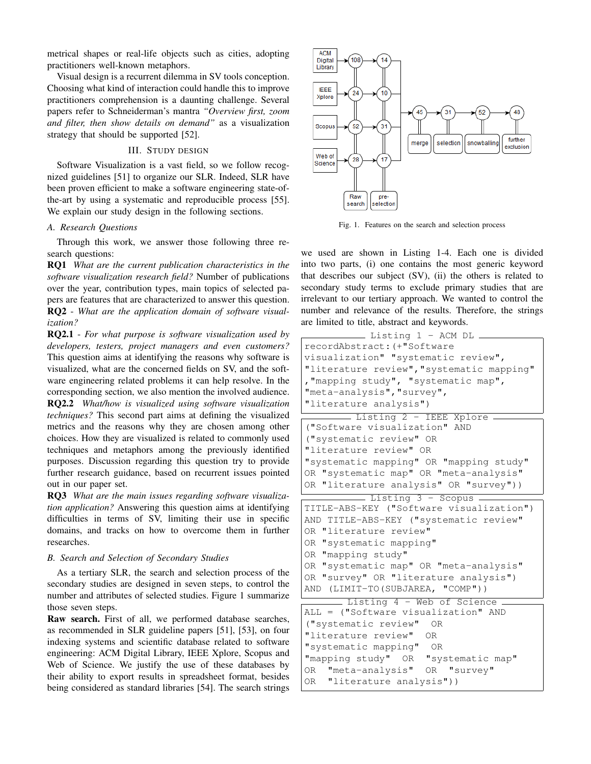metrical shapes or real-life objects such as cities, adopting practitioners well-known metaphors.

Visual design is a recurrent dilemma in SV tools conception. Choosing what kind of interaction could handle this to improve practitioners comprehension is a daunting challenge. Several papers refer to Schneiderman's mantra *"Overview first, zoom and filter, then show details on demand"* as a visualization strategy that should be supported [52].

# III. STUDY DESIGN

Software Visualization is a vast field, so we follow recognized guidelines [51] to organize our SLR. Indeed, SLR have been proven efficient to make a software engineering state-ofthe-art by using a systematic and reproducible process [55]. We explain our study design in the following sections.

#### *A. Research Questions*

Through this work, we answer those following three research questions:

RQ1 *What are the current publication characteristics in the software visualization research field?* Number of publications over the year, contribution types, main topics of selected papers are features that are characterized to answer this question. RQ2 - *What are the application domain of software visualization?*

RQ2.1 - *For what purpose is software visualization used by developers, testers, project managers and even customers?* This question aims at identifying the reasons why software is visualized, what are the concerned fields on SV, and the software engineering related problems it can help resolve. In the corresponding section, we also mention the involved audience. RQ2.2 *What/how is visualized using software visualization techniques?* This second part aims at defining the visualized metrics and the reasons why they are chosen among other choices. How they are visualized is related to commonly used techniques and metaphors among the previously identified purposes. Discussion regarding this question try to provide further research guidance, based on recurrent issues pointed out in our paper set.

RQ3 *What are the main issues regarding software visualization application?* Answering this question aims at identifying difficulties in terms of SV, limiting their use in specific domains, and tracks on how to overcome them in further researches.

# *B. Search and Selection of Secondary Studies*

As a tertiary SLR, the search and selection process of the secondary studies are designed in seven steps, to control the number and attributes of selected studies. Figure 1 summarize those seven steps.

Raw search. First of all, we performed database searches, as recommended in SLR guideline papers [51], [53], on four indexing systems and scientific database related to software engineering: ACM Digital Library, IEEE Xplore, Scopus and Web of Science. We justify the use of these databases by their ability to export results in spreadsheet format, besides being considered as standard libraries [54]. The search strings



Fig. 1. Features on the search and selection process

we used are shown in Listing 1-4. Each one is divided into two parts, (i) one contains the most generic keyword that describes our subject (SV), (ii) the others is related to secondary study terms to exclude primary studies that are irrelevant to our tertiary approach. We wanted to control the number and relevance of the results. Therefore, the strings are limited to title, abstract and keywords.

| __ Listing 1 - ACM DL __                  |  |  |  |  |  |  |
|-------------------------------------------|--|--|--|--|--|--|
| recordAbstract: (+"Software               |  |  |  |  |  |  |
| visualization" "systematic review",       |  |  |  |  |  |  |
| "literature review", "systematic mapping" |  |  |  |  |  |  |
| , "mapping study", "systematic map",      |  |  |  |  |  |  |
| "meta-analysis", "survey",                |  |  |  |  |  |  |
|                                           |  |  |  |  |  |  |
| "literature analysis")                    |  |  |  |  |  |  |
| Listing 2 - IEEE Xplore                   |  |  |  |  |  |  |
| ("Software visualization" AND             |  |  |  |  |  |  |
| ("systematic review" OR                   |  |  |  |  |  |  |
| "literature review" OR                    |  |  |  |  |  |  |
| "systematic mapping" OR "mapping study"   |  |  |  |  |  |  |
| OR "systematic map" OR "meta-analysis"    |  |  |  |  |  |  |
| OR "literature analysis" OR "survey"))    |  |  |  |  |  |  |
| Listing 3 - Scopus                        |  |  |  |  |  |  |
| TITLE-ABS-KEY ("Software visualization")  |  |  |  |  |  |  |
| AND TITLE-ABS-KEY ("systematic review"    |  |  |  |  |  |  |
| OR "literature review"                    |  |  |  |  |  |  |
| OR "systematic mapping"                   |  |  |  |  |  |  |
| OR "mapping study"                        |  |  |  |  |  |  |
| OR "systematic map" OR "meta-analysis"    |  |  |  |  |  |  |
| OR "survey" OR "literature analysis")     |  |  |  |  |  |  |
| AND (LIMIT-TO (SUBJAREA, "COMP"))         |  |  |  |  |  |  |
|                                           |  |  |  |  |  |  |
| Listing 4 - Web of Science                |  |  |  |  |  |  |
| ALL = ("Software visualization" AND       |  |  |  |  |  |  |
| ("systematic review" OR                   |  |  |  |  |  |  |
| "literature review" OR                    |  |  |  |  |  |  |
| "systematic mapping" OR                   |  |  |  |  |  |  |
| "mapping study" OR "systematic map"       |  |  |  |  |  |  |
| OR "meta-analysis" OR "survey"            |  |  |  |  |  |  |
| OR "literature analysis"))                |  |  |  |  |  |  |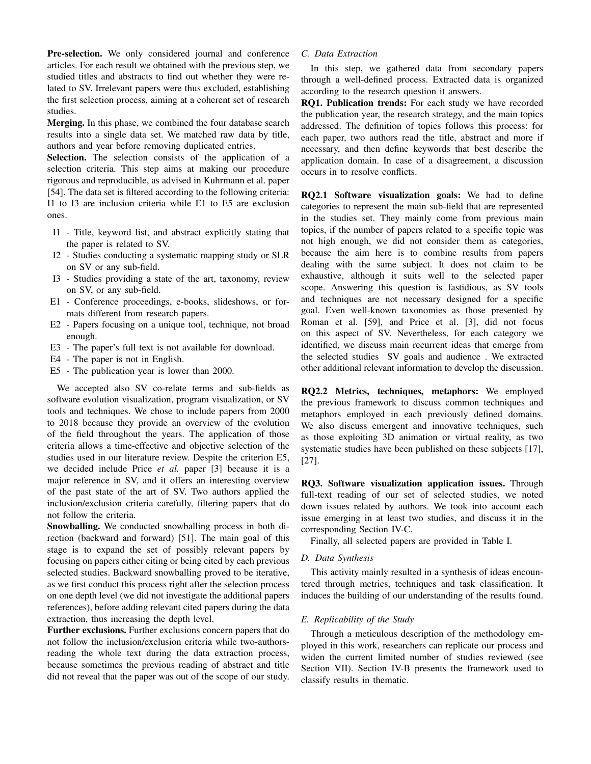Pre-selection. We only considered journal and conference articles. For each result we obtained with the previous step, we studied titles and abstracts to find out whether they were related to SV. Irrelevant papers were thus excluded, establishing the first selection process, aiming at a coherent set of research studies.

Merging. In this phase, we combined the four database search results into a single data set. We matched raw data by title, authors and year before removing duplicated entries.

Selection. The selection consists of the application of a selection criteria. This step aims at making our procedure rigorous and reproducible, as advised in Kuhrmann et al. paper [54]. The data set is filtered according to the following criteria: I1 to I3 are inclusion criteria while E1 to E5 are exclusion ones.

- I1 Title, keyword list, and abstract explicitly stating that the paper is related to SV.
- I2 Studies conducting a systematic mapping study or SLR on SV or any sub-field.
- I3 Studies providing a state of the art, taxonomy, review on SV, or any sub-field.
- E1 Conference proceedings, e-books, slideshows, or formats different from research papers.
- E2 Papers focusing on a unique tool, technique, not broad enough.
- E3 The paper's full text is not available for download.
- E4 The paper is not in English.
- E5 The publication year is lower than 2000.

We accepted also SV co-relate terms and sub-fields as software evolution visualization, program visualization, or SV tools and techniques. We chose to include papers from 2000 to 2018 because they provide an overview of the evolution of the field throughout the years. The application of those criteria allows a time-effective and objective selection of the studies used in our literature review. Despite the criterion E5, we decided include Price *et al.* paper [3] because it is a major reference in SV, and it offers an interesting overview of the past state of the art of SV. Two authors applied the inclusion/exclusion criteria carefully, filtering papers that do not follow the criteria.

Snowballing. We conducted snowballing process in both direction (backward and forward) [51]. The main goal of this stage is to expand the set of possibly relevant papers by focusing on papers either citing or being cited by each previous selected studies. Backward snowballing proved to be iterative, as we first conduct this process right after the selection process on one depth level (we did not investigate the additional papers references), before adding relevant cited papers during the data extraction, thus increasing the depth level.

Further exclusions. Further exclusions concern papers that do not follow the inclusion/exclusion criteria while two-authorsreading the whole text during the data extraction process, because sometimes the previous reading of abstract and title did not reveal that the paper was out of the scope of our study.

# *C. Data Extraction*

In this step, we gathered data from secondary papers through a well-defined process. Extracted data is organized according to the research question it answers.

RQ1. Publication trends: For each study we have recorded the publication year, the research strategy, and the main topics addressed. The definition of topics follows this process: for each paper, two authors read the title, abstract and more if necessary, and then define keywords that best describe the application domain. In case of a disagreement, a discussion occurs in to resolve conflicts.

RQ2.1 Software visualization goals: We had to define categories to represent the main sub-field that are represented in the studies set. They mainly come from previous main topics, if the number of papers related to a specific topic was not high enough, we did not consider them as categories, because the aim here is to combine results from papers dealing with the same subject. It does not claim to be exhaustive, although it suits well to the selected paper scope. Answering this question is fastidious, as SV tools and techniques are not necessary designed for a specific goal. Even well-known taxonomies as those presented by Roman et al. [59], and Price et al. [3], did not focus on this aspect of SV. Nevertheless, for each category we identified, we discuss main recurrent ideas that emerge from the selected studies SV goals and audience . We extracted other additional relevant information to develop the discussion.

RQ2.2 Metrics, techniques, metaphors: We employed the previous framework to discuss common techniques and metaphors employed in each previously defined domains. We also discuss emergent and innovative techniques, such as those exploiting 3D animation or virtual reality, as two systematic studies have been published on these subjects [17], [27].

RQ3. Software visualization application issues. Through full-text reading of our set of selected studies, we noted down issues related by authors. We took into account each issue emerging in at least two studies, and discuss it in the corresponding Section IV-C.

Finally, all selected papers are provided in Table I.

# *D. Data Synthesis*

This activity mainly resulted in a synthesis of ideas encountered through metrics, techniques and task classification. It induces the building of our understanding of the results found.

# *E. Replicability of the Study*

Through a meticulous description of the methodology employed in this work, researchers can replicate our process and widen the current limited number of studies reviewed (see Section VII). Section IV-B presents the framework used to classify results in thematic.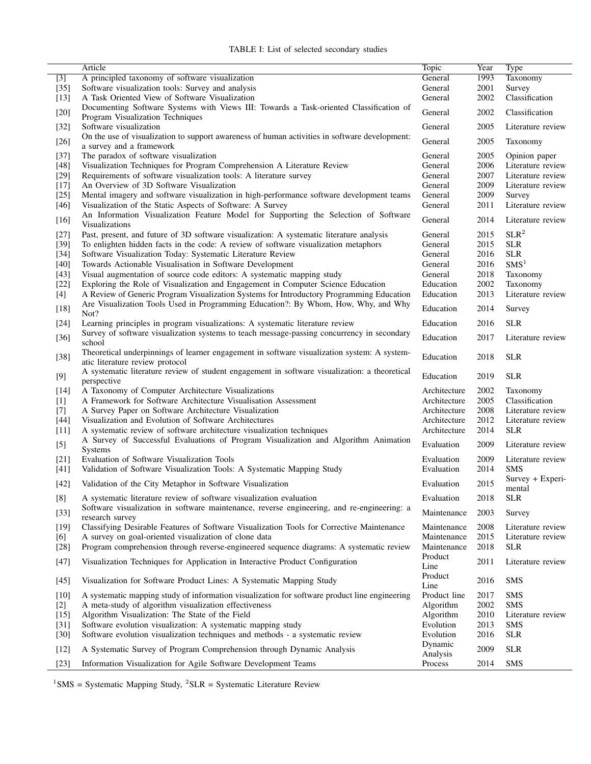|             | Article                                                                                                      | Topic        | Year | Type              |
|-------------|--------------------------------------------------------------------------------------------------------------|--------------|------|-------------------|
| $\boxed{3}$ | A principled taxonomy of software visualization                                                              | General      | 1993 | Taxonomy          |
| $[35]$      | Software visualization tools: Survey and analysis                                                            | General      | 2001 | Survey            |
| $[13]$      | A Task Oriented View of Software Visualization                                                               | General      | 2002 | Classification    |
|             | Documenting Software Systems with Views III: Towards a Task-oriented Classification of                       |              |      |                   |
| $[20]$      | Program Visualization Techniques                                                                             | General      | 2002 | Classification    |
| $[32]$      | Software visualization                                                                                       | General      | 2005 | Literature review |
|             | On the use of visualization to support awareness of human activities in software development:                |              |      |                   |
| $[26]$      | a survey and a framework                                                                                     | General      | 2005 | Taxonomy          |
| $[37]$      | The paradox of software visualization                                                                        | General      | 2005 | Opinion paper     |
| $[48]$      | Visualization Techniques for Program Comprehension A Literature Review                                       | General      | 2006 | Literature review |
| $[29]$      | Requirements of software visualization tools: A literature survey                                            | General      | 2007 | Literature review |
| $[17]$      | An Overview of 3D Software Visualization                                                                     | General      | 2009 | Literature review |
| $[25]$      | Mental imagery and software visualization in high-performance software development teams                     | General      | 2009 | Survey            |
| $[46]$      | Visualization of the Static Aspects of Software: A Survey                                                    | General      | 2011 | Literature review |
|             | An Information Visualization Feature Model for Supporting the Selection of Software                          |              |      |                   |
| $[16]$      | Visualizations                                                                                               | General      | 2014 | Literature review |
| $[27]$      | Past, present, and future of 3D software visualization: A systematic literature analysis                     | General      | 2015 | SLR <sup>2</sup>  |
| $[39]$      | To enlighten hidden facts in the code: A review of software visualization metaphors                          | General      | 2015 | $SLR$             |
| $[34]$      | Software Visualization Today: Systematic Literature Review                                                   | General      | 2016 | <b>SLR</b>        |
| $[40]$      | Towards Actionable Visualisation in Software Development                                                     | General      | 2016 | SMS <sup>1</sup>  |
| $[43]$      | Visual augmentation of source code editors: A systematic mapping study                                       | General      | 2018 | Taxonomy          |
| $[22]$      | Exploring the Role of Visualization and Engagement in Computer Science Education                             | Education    | 2002 | Taxonomy          |
|             | A Review of Generic Program Visualization Systems for Introductory Programming Education                     | Education    | 2013 | Literature review |
| $[4]$       | Are Visualization Tools Used in Programming Education?: By Whom, How, Why, and Why                           |              |      |                   |
| $[18]$      | Not?                                                                                                         | Education    | 2014 | Survey            |
| $[24]$      | Learning principles in program visualizations: A systematic literature review                                | Education    | 2016 | <b>SLR</b>        |
| $[36]$      | Survey of software visualization systems to teach message-passing concurrency in secondary                   | Education    | 2017 | Literature review |
| $[38]$      | school<br>Theoretical underpinnings of learner engagement in software visualization system: A system-        | Education    | 2018 | <b>SLR</b>        |
|             | atic literature review protocol                                                                              |              |      |                   |
| [9]         | A systematic literature review of student engagement in software visualization: a theoretical<br>perspective | Education    | 2019 | <b>SLR</b>        |
| $[14]$      | A Taxonomy of Computer Architecture Visualizations                                                           | Architecture | 2002 | Taxonomy          |
| $[1]$       | A Framework for Software Architecture Visualisation Assessment                                               | Architecture | 2005 | Classification    |
| $[7]$       | A Survey Paper on Software Architecture Visualization                                                        | Architecture | 2008 | Literature review |
| $[44]$      | Visualization and Evolution of Software Architectures                                                        | Architecture | 2012 | Literature review |
| $[11]$      | A systematic review of software architecture visualization techniques                                        | Architecture | 2014 | <b>SLR</b>        |
|             | A Survey of Successful Evaluations of Program Visualization and Algorithm Animation                          |              |      |                   |
| $[5]$       | Systems                                                                                                      | Evaluation   | 2009 | Literature review |
| $[21]$      | Evaluation of Software Visualization Tools                                                                   | Evaluation   | 2009 | Literature review |
| $[41]$      | Validation of Software Visualization Tools: A Systematic Mapping Study                                       | Evaluation   | 2014 | SMS               |
|             |                                                                                                              |              |      | Survey + Experi-  |
| $[42]$      | Validation of the City Metaphor in Software Visualization                                                    | Evaluation   | 2015 | mental            |
| [8]         | A systematic literature review of software visualization evaluation                                          | Evaluation   | 2018 | <b>SLR</b>        |
| $[33]$      | Software visualization in software maintenance, reverse engineering, and re-engineering: a                   | Maintenance  | 2003 | Survey            |
|             | research survey                                                                                              |              |      |                   |
| $[19]$      | Classifying Desirable Features of Software Visualization Tools for Corrective Maintenance                    | Maintenance  | 2008 | Literature review |
| [6]         | A survey on goal-oriented visualization of clone data                                                        | Maintenance  | 2015 | Literature review |
| $[28]$      | Program comprehension through reverse-engineered sequence diagrams: A systematic review                      | Maintenance  | 2018 | <b>SLR</b>        |
| $[47]$      | Visualization Techniques for Application in Interactive Product Configuration                                | Product      | 2011 | Literature review |
|             |                                                                                                              | Line         |      |                   |
| $[45]$      | Visualization for Software Product Lines: A Systematic Mapping Study                                         | Product      | 2016 | <b>SMS</b>        |
|             |                                                                                                              | Line         |      |                   |
| $[10]$      | A systematic mapping study of information visualization for software product line engineering                | Product line | 2017 | <b>SMS</b>        |
| $[2]$       | A meta-study of algorithm visualization effectiveness                                                        | Algorithm    | 2002 | <b>SMS</b>        |
| $[15]$      | Algorithm Visualization: The State of the Field                                                              | Algorithm    | 2010 | Literature review |
| $[31]$      | Software evolution visualization: A systematic mapping study                                                 | Evolution    | 2013 | <b>SMS</b>        |
| $[30]$      | Software evolution visualization techniques and methods - a systematic review                                | Evolution    | 2016 | <b>SLR</b>        |
| $[12]$      | A Systematic Survey of Program Comprehension through Dynamic Analysis                                        | Dynamic      | 2009 | <b>SLR</b>        |
|             |                                                                                                              | Analysis     |      |                   |
| $[23]$      | Information Visualization for Agile Software Development Teams                                               | Process      | 2014 | <b>SMS</b>        |

<sup>1</sup>SMS = Systematic Mapping Study, <sup>2</sup>SLR = Systematic Literature Review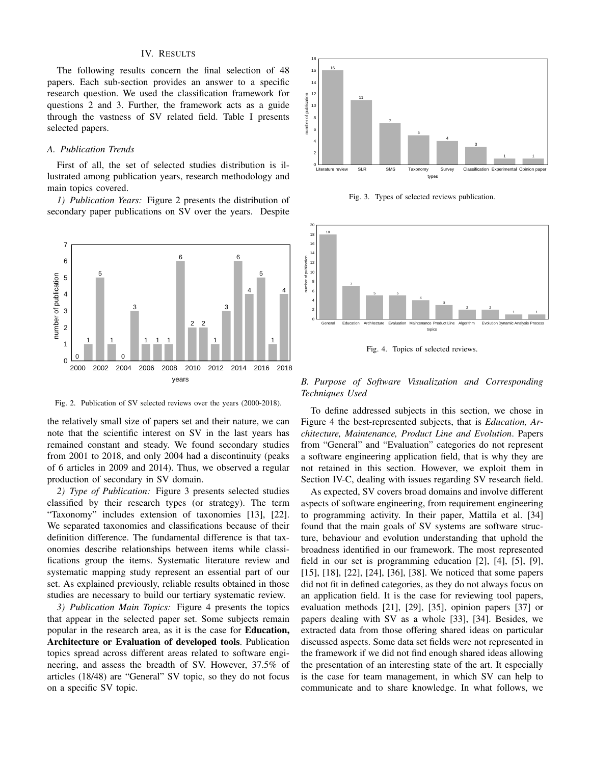# IV. RESULTS

The following results concern the final selection of 48 papers. Each sub-section provides an answer to a specific research question. We used the classification framework for questions 2 and 3. Further, the framework acts as a guide through the vastness of SV related field. Table I presents selected papers.

#### *A. Publication Trends*

First of all, the set of selected studies distribution is illustrated among publication years, research methodology and main topics covered.

*1) Publication Years:* Figure 2 presents the distribution of secondary paper publications on SV over the years. Despite



Fig. 2. Publication of SV selected reviews over the years (2000-2018).

the relatively small size of papers set and their nature, we can note that the scientific interest on SV in the last years has remained constant and steady. We found secondary studies from 2001 to 2018, and only 2004 had a discontinuity (peaks of 6 articles in 2009 and 2014). Thus, we observed a regular production of secondary in SV domain.

*2) Type of Publication:* Figure 3 presents selected studies classified by their research types (or strategy). The term "Taxonomy" includes extension of taxonomies [13], [22]. We separated taxonomies and classifications because of their definition difference. The fundamental difference is that taxonomies describe relationships between items while classifications group the items. Systematic literature review and systematic mapping study represent an essential part of our set. As explained previously, reliable results obtained in those studies are necessary to build our tertiary systematic review.

*3) Publication Main Topics:* Figure 4 presents the topics that appear in the selected paper set. Some subjects remain popular in the research area, as it is the case for Education, Architecture or Evaluation of developed tools. Publication topics spread across different areas related to software engineering, and assess the breadth of SV. However, 37.5% of articles (18/48) are "General" SV topic, so they do not focus on a specific SV topic.



Fig. 3. Types of selected reviews publication.



Fig. 4. Topics of selected reviews.

# *B. Purpose of Software Visualization and Corresponding Techniques Used*

To define addressed subjects in this section, we chose in Figure 4 the best-represented subjects, that is *Education, Architecture, Maintenance, Product Line and Evolution*. Papers from "General" and "Evaluation" categories do not represent a software engineering application field, that is why they are not retained in this section. However, we exploit them in Section IV-C, dealing with issues regarding SV research field.

As expected, SV covers broad domains and involve different aspects of software engineering, from requirement engineering to programming activity. In their paper, Mattila et al. [34] found that the main goals of SV systems are software structure, behaviour and evolution understanding that uphold the broadness identified in our framework. The most represented field in our set is programming education [2], [4], [5], [9], [15], [18], [22], [24], [36], [38]. We noticed that some papers did not fit in defined categories, as they do not always focus on an application field. It is the case for reviewing tool papers, evaluation methods [21], [29], [35], opinion papers [37] or papers dealing with SV as a whole [33], [34]. Besides, we extracted data from those offering shared ideas on particular discussed aspects. Some data set fields were not represented in the framework if we did not find enough shared ideas allowing the presentation of an interesting state of the art. It especially is the case for team management, in which SV can help to communicate and to share knowledge. In what follows, we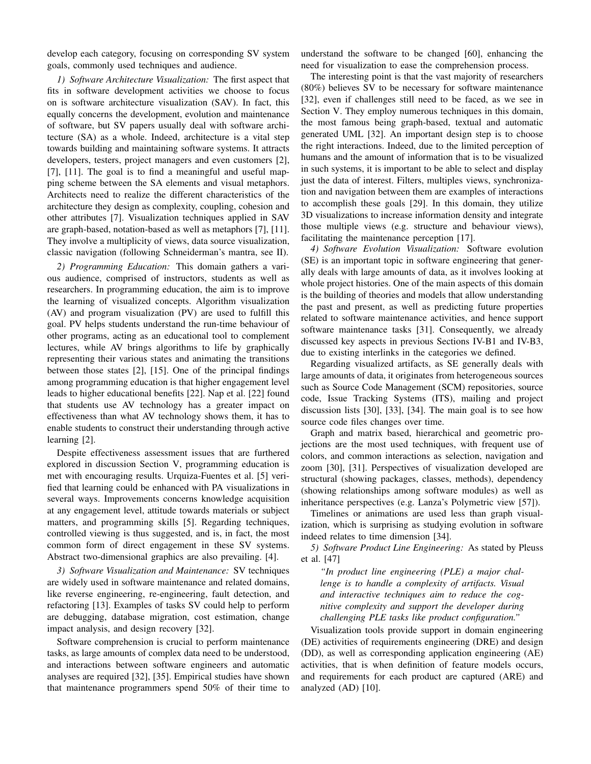develop each category, focusing on corresponding SV system goals, commonly used techniques and audience.

*1) Software Architecture Visualization:* The first aspect that fits in software development activities we choose to focus on is software architecture visualization (SAV). In fact, this equally concerns the development, evolution and maintenance of software, but SV papers usually deal with software architecture (SA) as a whole. Indeed, architecture is a vital step towards building and maintaining software systems. It attracts developers, testers, project managers and even customers [2], [7], [11]. The goal is to find a meaningful and useful mapping scheme between the SA elements and visual metaphors. Architects need to realize the different characteristics of the architecture they design as complexity, coupling, cohesion and other attributes [7]. Visualization techniques applied in SAV are graph-based, notation-based as well as metaphors [7], [11]. They involve a multiplicity of views, data source visualization, classic navigation (following Schneiderman's mantra, see II).

*2) Programming Education:* This domain gathers a various audience, comprised of instructors, students as well as researchers. In programming education, the aim is to improve the learning of visualized concepts. Algorithm visualization (AV) and program visualization (PV) are used to fulfill this goal. PV helps students understand the run-time behaviour of other programs, acting as an educational tool to complement lectures, while AV brings algorithms to life by graphically representing their various states and animating the transitions between those states [2], [15]. One of the principal findings among programming education is that higher engagement level leads to higher educational benefits [22]. Nap et al. [22] found that students use AV technology has a greater impact on effectiveness than what AV technology shows them, it has to enable students to construct their understanding through active learning [2].

Despite effectiveness assessment issues that are furthered explored in discussion Section V, programming education is met with encouraging results. Urquiza-Fuentes et al. [5] verified that learning could be enhanced with PA visualizations in several ways. Improvements concerns knowledge acquisition at any engagement level, attitude towards materials or subject matters, and programming skills [5]. Regarding techniques, controlled viewing is thus suggested, and is, in fact, the most common form of direct engagement in these SV systems. Abstract two-dimensional graphics are also prevailing. [4].

*3) Software Visualization and Maintenance:* SV techniques are widely used in software maintenance and related domains, like reverse engineering, re-engineering, fault detection, and refactoring [13]. Examples of tasks SV could help to perform are debugging, database migration, cost estimation, change impact analysis, and design recovery [32].

Software comprehension is crucial to perform maintenance tasks, as large amounts of complex data need to be understood, and interactions between software engineers and automatic analyses are required [32], [35]. Empirical studies have shown that maintenance programmers spend 50% of their time to understand the software to be changed [60], enhancing the need for visualization to ease the comprehension process.

The interesting point is that the vast majority of researchers (80%) believes SV to be necessary for software maintenance [32], even if challenges still need to be faced, as we see in Section V. They employ numerous techniques in this domain, the most famous being graph-based, textual and automatic generated UML [32]. An important design step is to choose the right interactions. Indeed, due to the limited perception of humans and the amount of information that is to be visualized in such systems, it is important to be able to select and display just the data of interest. Filters, multiples views, synchronization and navigation between them are examples of interactions to accomplish these goals [29]. In this domain, they utilize 3D visualizations to increase information density and integrate those multiple views (e.g. structure and behaviour views), facilitating the maintenance perception [17].

*4) Software Evolution Visualization:* Software evolution (SE) is an important topic in software engineering that generally deals with large amounts of data, as it involves looking at whole project histories. One of the main aspects of this domain is the building of theories and models that allow understanding the past and present, as well as predicting future properties related to software maintenance activities, and hence support software maintenance tasks [31]. Consequently, we already discussed key aspects in previous Sections IV-B1 and IV-B3, due to existing interlinks in the categories we defined.

Regarding visualized artifacts, as SE generally deals with large amounts of data, it originates from heterogeneous sources such as Source Code Management (SCM) repositories, source code, Issue Tracking Systems (ITS), mailing and project discussion lists [30], [33], [34]. The main goal is to see how source code files changes over time.

Graph and matrix based, hierarchical and geometric projections are the most used techniques, with frequent use of colors, and common interactions as selection, navigation and zoom [30], [31]. Perspectives of visualization developed are structural (showing packages, classes, methods), dependency (showing relationships among software modules) as well as inheritance perspectives (e.g. Lanza's Polymetric view [57]).

Timelines or animations are used less than graph visualization, which is surprising as studying evolution in software indeed relates to time dimension [34].

*5) Software Product Line Engineering:* As stated by Pleuss et al. [47]

*"In product line engineering (PLE) a major challenge is to handle a complexity of artifacts. Visual and interactive techniques aim to reduce the cognitive complexity and support the developer during challenging PLE tasks like product configuration."*

Visualization tools provide support in domain engineering (DE) activities of requirements engineering (DRE) and design (DD), as well as corresponding application engineering (AE) activities, that is when definition of feature models occurs, and requirements for each product are captured (ARE) and analyzed (AD) [10].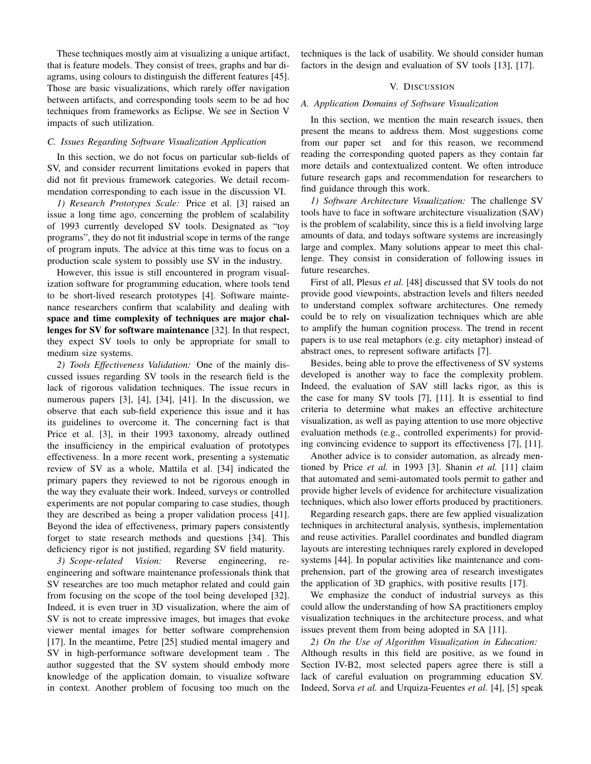These techniques mostly aim at visualizing a unique artifact, that is feature models. They consist of trees, graphs and bar diagrams, using colours to distinguish the different features [45]. Those are basic visualizations, which rarely offer navigation between artifacts, and corresponding tools seem to be ad hoc techniques from frameworks as Eclipse. We see in Section V impacts of such utilization.

## *C. Issues Regarding Software Visualization Application*

In this section, we do not focus on particular sub-fields of SV, and consider recurrent limitations evoked in papers that did not fit previous framework categories. We detail recommendation corresponding to each issue in the discussion VI.

*1) Research Prototypes Scale:* Price et al. [3] raised an issue a long time ago, concerning the problem of scalability of 1993 currently developed SV tools. Designated as "toy programs", they do not fit industrial scope in terms of the range of program inputs. The advice at this time was to focus on a production scale system to possibly use SV in the industry.

However, this issue is still encountered in program visualization software for programming education, where tools tend to be short-lived research prototypes [4]. Software maintenance researchers confirm that scalability and dealing with space and time complexity of techniques are major challenges for SV for software maintenance [32]. In that respect, they expect SV tools to only be appropriate for small to medium size systems.

*2) Tools Effectiveness Validation:* One of the mainly discussed issues regarding SV tools in the research field is the lack of rigorous validation techniques. The issue recurs in numerous papers [3], [4], [34], [41]. In the discussion, we observe that each sub-field experience this issue and it has its guidelines to overcome it. The concerning fact is that Price et al. [3], in their 1993 taxonomy, already outlined the insufficiency in the empirical evaluation of prototypes effectiveness. In a more recent work, presenting a systematic review of SV as a whole, Mattila et al. [34] indicated the primary papers they reviewed to not be rigorous enough in the way they evaluate their work. Indeed, surveys or controlled experiments are not popular comparing to case studies, though they are described as being a proper validation process [41]. Beyond the idea of effectiveness, primary papers consistently forget to state research methods and questions [34]. This deficiency rigor is not justified, regarding SV field maturity.

*3) Scope-related Vision:* Reverse engineering, reengineering and software maintenance professionals think that SV researches are too much metaphor related and could gain from focusing on the scope of the tool being developed [32]. Indeed, it is even truer in 3D visualization, where the aim of SV is not to create impressive images, but images that evoke viewer mental images for better software comprehension [17]. In the meantime, Petre [25] studied mental imagery and SV in high-performance software development team . The author suggested that the SV system should embody more knowledge of the application domain, to visualize software in context. Another problem of focusing too much on the techniques is the lack of usability. We should consider human factors in the design and evaluation of SV tools [13], [17].

## V. DISCUSSION

## *A. Application Domains of Software Visualization*

In this section, we mention the main research issues, then present the means to address them. Most suggestions come from our paper set and for this reason, we recommend reading the corresponding quoted papers as they contain far more details and contextualized content. We often introduce future research gaps and recommendation for researchers to find guidance through this work.

*1) Software Architecture Visualization:* The challenge SV tools have to face in software architecture visualization (SAV) is the problem of scalability, since this is a field involving large amounts of data, and todays software systems are increasingly large and complex. Many solutions appear to meet this challenge. They consist in consideration of following issues in future researches.

First of all, Plesus *et al.* [48] discussed that SV tools do not provide good viewpoints, abstraction levels and filters needed to understand complex software architectures. One remedy could be to rely on visualization techniques which are able to amplify the human cognition process. The trend in recent papers is to use real metaphors (e.g. city metaphor) instead of abstract ones, to represent software artifacts [7].

Besides, being able to prove the effectiveness of SV systems developed is another way to face the complexity problem. Indeed, the evaluation of SAV still lacks rigor, as this is the case for many SV tools [7], [11]. It is essential to find criteria to determine what makes an effective architecture visualization, as well as paying attention to use more objective evaluation methods (e.g., controlled experiments) for providing convincing evidence to support its effectiveness [7], [11].

Another advice is to consider automation, as already mentioned by Price *et al.* in 1993 [3]. Shanin *et al.* [11] claim that automated and semi-automated tools permit to gather and provide higher levels of evidence for architecture visualization techniques, which also lower efforts produced by practitioners.

Regarding research gaps, there are few applied visualization techniques in architectural analysis, synthesis, implementation and reuse activities. Parallel coordinates and bundled diagram layouts are interesting techniques rarely explored in developed systems [44]. In popular activities like maintenance and comprehension, part of the growing area of research investigates the application of 3D graphics, with positive results [17].

We emphasize the conduct of industrial surveys as this could allow the understanding of how SA practitioners employ visualization techniques in the architecture process, and what issues prevent them from being adopted in SA [11].

*2) On the Use of Algorithm Visualization in Education:* Although results in this field are positive, as we found in Section IV-B2, most selected papers agree there is still a lack of careful evaluation on programming education SV. Indeed, Sorva *et al.* and Urquiza-Feuentes *et al.* [4], [5] speak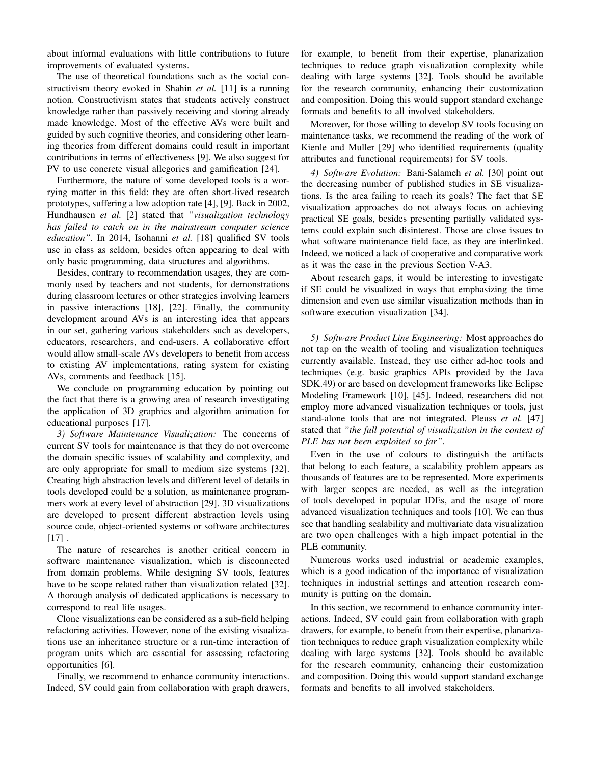about informal evaluations with little contributions to future improvements of evaluated systems.

The use of theoretical foundations such as the social constructivism theory evoked in Shahin *et al.* [11] is a running notion. Constructivism states that students actively construct knowledge rather than passively receiving and storing already made knowledge. Most of the effective AVs were built and guided by such cognitive theories, and considering other learning theories from different domains could result in important contributions in terms of effectiveness [9]. We also suggest for PV to use concrete visual allegories and gamification [24].

Furthermore, the nature of some developed tools is a worrying matter in this field: they are often short-lived research prototypes, suffering a low adoption rate [4], [9]. Back in 2002, Hundhausen *et al.* [2] stated that *"visualization technology has failed to catch on in the mainstream computer science education"*. In 2014, Isohanni *et al.* [18] qualified SV tools use in class as seldom, besides often appearing to deal with only basic programming, data structures and algorithms.

Besides, contrary to recommendation usages, they are commonly used by teachers and not students, for demonstrations during classroom lectures or other strategies involving learners in passive interactions [18], [22]. Finally, the community development around AVs is an interesting idea that appears in our set, gathering various stakeholders such as developers, educators, researchers, and end-users. A collaborative effort would allow small-scale AVs developers to benefit from access to existing AV implementations, rating system for existing AVs, comments and feedback [15].

We conclude on programming education by pointing out the fact that there is a growing area of research investigating the application of 3D graphics and algorithm animation for educational purposes [17].

*3) Software Maintenance Visualization:* The concerns of current SV tools for maintenance is that they do not overcome the domain specific issues of scalability and complexity, and are only appropriate for small to medium size systems [32]. Creating high abstraction levels and different level of details in tools developed could be a solution, as maintenance programmers work at every level of abstraction [29]. 3D visualizations are developed to present different abstraction levels using source code, object-oriented systems or software architectures  $[17]$ .

The nature of researches is another critical concern in software maintenance visualization, which is disconnected from domain problems. While designing SV tools, features have to be scope related rather than visualization related [32]. A thorough analysis of dedicated applications is necessary to correspond to real life usages.

Clone visualizations can be considered as a sub-field helping refactoring activities. However, none of the existing visualizations use an inheritance structure or a run-time interaction of program units which are essential for assessing refactoring opportunities [6].

Finally, we recommend to enhance community interactions. Indeed, SV could gain from collaboration with graph drawers, for example, to benefit from their expertise, planarization techniques to reduce graph visualization complexity while dealing with large systems [32]. Tools should be available for the research community, enhancing their customization and composition. Doing this would support standard exchange formats and benefits to all involved stakeholders.

Moreover, for those willing to develop SV tools focusing on maintenance tasks, we recommend the reading of the work of Kienle and Muller [29] who identified requirements (quality attributes and functional requirements) for SV tools.

*4) Software Evolution:* Bani-Salameh *et al.* [30] point out the decreasing number of published studies in SE visualizations. Is the area failing to reach its goals? The fact that SE visualization approaches do not always focus on achieving practical SE goals, besides presenting partially validated systems could explain such disinterest. Those are close issues to what software maintenance field face, as they are interlinked. Indeed, we noticed a lack of cooperative and comparative work as it was the case in the previous Section V-A3.

About research gaps, it would be interesting to investigate if SE could be visualized in ways that emphasizing the time dimension and even use similar visualization methods than in software execution visualization [34].

*5) Software Product Line Engineering:* Most approaches do not tap on the wealth of tooling and visualization techniques currently available. Instead, they use either ad-hoc tools and techniques (e.g. basic graphics APIs provided by the Java SDK.49) or are based on development frameworks like Eclipse Modeling Framework [10], [45]. Indeed, researchers did not employ more advanced visualization techniques or tools, just stand-alone tools that are not integrated. Pleuss *et al.* [47] stated that *"the full potential of visualization in the context of PLE has not been exploited so far"*.

Even in the use of colours to distinguish the artifacts that belong to each feature, a scalability problem appears as thousands of features are to be represented. More experiments with larger scopes are needed, as well as the integration of tools developed in popular IDEs, and the usage of more advanced visualization techniques and tools [10]. We can thus see that handling scalability and multivariate data visualization are two open challenges with a high impact potential in the PLE community.

Numerous works used industrial or academic examples, which is a good indication of the importance of visualization techniques in industrial settings and attention research community is putting on the domain.

In this section, we recommend to enhance community interactions. Indeed, SV could gain from collaboration with graph drawers, for example, to benefit from their expertise, planarization techniques to reduce graph visualization complexity while dealing with large systems [32]. Tools should be available for the research community, enhancing their customization and composition. Doing this would support standard exchange formats and benefits to all involved stakeholders.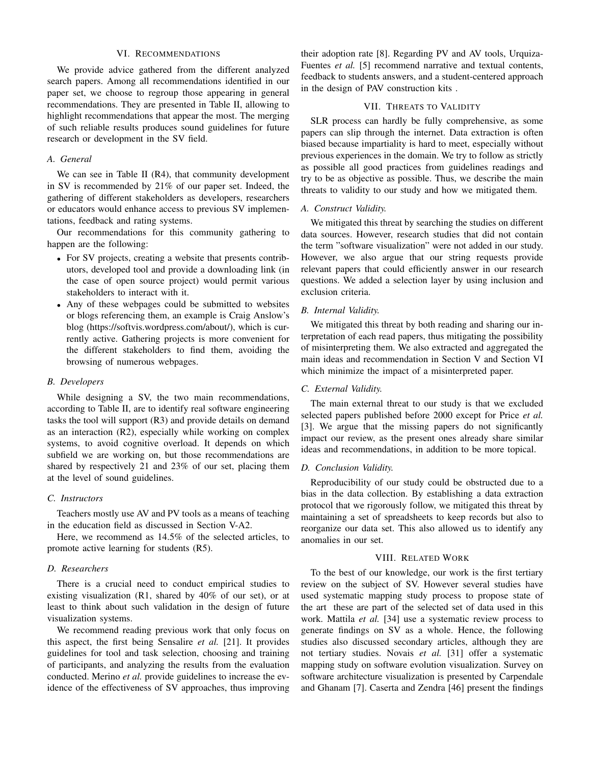## VI. RECOMMENDATIONS

We provide advice gathered from the different analyzed search papers. Among all recommendations identified in our paper set, we choose to regroup those appearing in general recommendations. They are presented in Table II, allowing to highlight recommendations that appear the most. The merging of such reliable results produces sound guidelines for future research or development in the SV field.

# *A. General*

We can see in Table II (R4), that community development in SV is recommended by 21% of our paper set. Indeed, the gathering of different stakeholders as developers, researchers or educators would enhance access to previous SV implementations, feedback and rating systems.

Our recommendations for this community gathering to happen are the following:

- For SV projects, creating a website that presents contributors, developed tool and provide a downloading link (in the case of open source project) would permit various stakeholders to interact with it.
- Any of these webpages could be submitted to websites or blogs referencing them, an example is Craig Anslow's blog (https://softvis.wordpress.com/about/), which is currently active. Gathering projects is more convenient for the different stakeholders to find them, avoiding the browsing of numerous webpages.

## *B. Developers*

While designing a SV, the two main recommendations, according to Table II, are to identify real software engineering tasks the tool will support (R3) and provide details on demand as an interaction (R2), especially while working on complex systems, to avoid cognitive overload. It depends on which subfield we are working on, but those recommendations are shared by respectively 21 and 23% of our set, placing them at the level of sound guidelines.

# *C. Instructors*

Teachers mostly use AV and PV tools as a means of teaching in the education field as discussed in Section V-A2.

Here, we recommend as 14.5% of the selected articles, to promote active learning for students (R5).

### *D. Researchers*

There is a crucial need to conduct empirical studies to existing visualization (R1, shared by 40% of our set), or at least to think about such validation in the design of future visualization systems.

We recommend reading previous work that only focus on this aspect, the first being Sensalire *et al.* [21]. It provides guidelines for tool and task selection, choosing and training of participants, and analyzing the results from the evaluation conducted. Merino *et al.* provide guidelines to increase the evidence of the effectiveness of SV approaches, thus improving their adoption rate [8]. Regarding PV and AV tools, Urquiza-Fuentes *et al.* [5] recommend narrative and textual contents, feedback to students answers, and a student-centered approach in the design of PAV construction kits .

# VII. THREATS TO VALIDITY

SLR process can hardly be fully comprehensive, as some papers can slip through the internet. Data extraction is often biased because impartiality is hard to meet, especially without previous experiences in the domain. We try to follow as strictly as possible all good practices from guidelines readings and try to be as objective as possible. Thus, we describe the main threats to validity to our study and how we mitigated them.

#### *A. Construct Validity.*

We mitigated this threat by searching the studies on different data sources. However, research studies that did not contain the term "software visualization" were not added in our study. However, we also argue that our string requests provide relevant papers that could efficiently answer in our research questions. We added a selection layer by using inclusion and exclusion criteria.

#### *B. Internal Validity.*

We mitigated this threat by both reading and sharing our interpretation of each read papers, thus mitigating the possibility of misinterpreting them. We also extracted and aggregated the main ideas and recommendation in Section V and Section VI which minimize the impact of a misinterpreted paper.

### *C. External Validity.*

The main external threat to our study is that we excluded selected papers published before 2000 except for Price *et al.* [3]. We argue that the missing papers do not significantly impact our review, as the present ones already share similar ideas and recommendations, in addition to be more topical.

#### *D. Conclusion Validity.*

Reproducibility of our study could be obstructed due to a bias in the data collection. By establishing a data extraction protocol that we rigorously follow, we mitigated this threat by maintaining a set of spreadsheets to keep records but also to reorganize our data set. This also allowed us to identify any anomalies in our set.

## VIII. RELATED WORK

To the best of our knowledge, our work is the first tertiary review on the subject of SV. However several studies have used systematic mapping study process to propose state of the art these are part of the selected set of data used in this work. Mattila *et al.* [34] use a systematic review process to generate findings on SV as a whole. Hence, the following studies also discussed secondary articles, although they are not tertiary studies. Novais *et al.* [31] offer a systematic mapping study on software evolution visualization. Survey on software architecture visualization is presented by Carpendale and Ghanam [7]. Caserta and Zendra [46] present the findings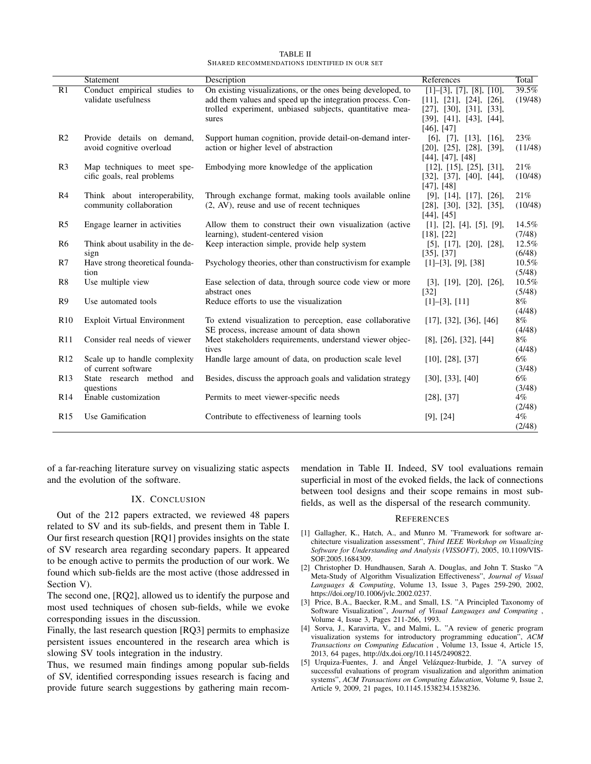TABLE II SHARED RECOMMENDATIONS IDENTIFIED IN OUR SET

|                 | Statement                                                 | Description                                                                                                               | References                                                                                           | Total            |
|-----------------|-----------------------------------------------------------|---------------------------------------------------------------------------------------------------------------------------|------------------------------------------------------------------------------------------------------|------------------|
| R1              | Conduct empirical studies to<br>validate usefulness       | On existing visualizations, or the ones being developed, to<br>add them values and speed up the integration process. Con- | $[1]-[3], [7], [8], [10],$<br>$[11]$ , $[21]$ , $[24]$ , $[26]$ ,                                    | 39.5%<br>(19/48) |
|                 |                                                           | trolled experiment, unbiased subjects, quantitative mea-<br>sures                                                         | $[27]$ , $[30]$ , $[31]$ , $[33]$ ,<br>[39], [41], [43], [44],<br>$[46]$ , $[47]$                    |                  |
| R <sub>2</sub>  | Provide details on demand,<br>avoid cognitive overload    | Support human cognition, provide detail-on-demand inter-<br>action or higher level of abstraction                         | $[6]$ , $[7]$ , $[13]$ , $[16]$ ,<br>$[20]$ , $[25]$ , $[28]$ , $[39]$ ,<br>$[44]$ , $[47]$ , $[48]$ | 23%<br>(11/48)   |
| R <sub>3</sub>  | Map techniques to meet spe-<br>cific goals, real problems | Embodying more knowledge of the application                                                                               | [12], [15], [25], [31],<br>$[32]$ , $[37]$ , $[40]$ , $[44]$ ,<br>$[47]$ , $[48]$                    | 21%<br>(10/48)   |
| R <sub>4</sub>  | Think about interoperability,<br>community collaboration  | Through exchange format, making tools available online<br>(2, AV), reuse and use of recent techniques                     | [9], [14], [17], [26],<br>$[28]$ , $[30]$ , $[32]$ , $[35]$ ,<br>$[44]$ , $[45]$                     | 21%<br>(10/48)   |
| R <sub>5</sub>  | Engage learner in activities                              | Allow them to construct their own visualization (active<br>learning), student-centered vision                             | [1], [2], [4], [5], [9],<br>$[18]$ , $[22]$                                                          | 14.5%<br>(7/48)  |
| R <sub>6</sub>  | Think about usability in the de-<br>sign                  | Keep interaction simple, provide help system                                                                              | [5], [17], [20], [28],<br>$[35]$ , $[37]$                                                            | 12.5%<br>(6/48)  |
| R7              | Have strong theoretical founda-<br>tion                   | Psychology theories, other than constructivism for example                                                                | $[1]$ -[3], [9], [38]                                                                                | 10.5%<br>(5/48)  |
| R8              | Use multiple view                                         | Ease selection of data, through source code view or more<br>abstract ones                                                 | $[3]$ , $[19]$ , $[20]$ , $[26]$ ,<br>$[32]$                                                         | 10.5%<br>(5/48)  |
| R <sub>9</sub>  | Use automated tools                                       | Reduce efforts to use the visualization                                                                                   | $[1]$ - $[3]$ , $[11]$                                                                               | $8\%$<br>(4/48)  |
| R <sub>10</sub> | Exploit Virtual Environment                               | To extend visualization to perception, ease collaborative<br>SE process, increase amount of data shown                    | [17], [32], [36], [46]                                                                               | $8\%$<br>(4/48)  |
| R11             | Consider real needs of viewer                             | Meet stakeholders requirements, understand viewer objec-<br>tives                                                         | $[8]$ , $[26]$ , $[32]$ , $[44]$                                                                     | $8\%$<br>(4/48)  |
| R <sub>12</sub> | Scale up to handle complexity<br>of current software      | Handle large amount of data, on production scale level                                                                    | $[10]$ , $[28]$ , $[37]$                                                                             | 6%<br>(3/48)     |
| R <sub>13</sub> | State research method and<br>questions                    | Besides, discuss the approach goals and validation strategy                                                               | [30], [33], [40]                                                                                     | 6%<br>(3/48)     |
| R14             | Enable customization                                      | Permits to meet viewer-specific needs                                                                                     | $[28]$ , $[37]$                                                                                      | $4\%$<br>(2/48)  |
| R15             | Use Gamification                                          | Contribute to effectiveness of learning tools                                                                             | $[9]$ , $[24]$                                                                                       | $4\%$<br>(2/48)  |

of a far-reaching literature survey on visualizing static aspects and the evolution of the software.

# IX. CONCLUSION

Out of the 212 papers extracted, we reviewed 48 papers related to SV and its sub-fields, and present them in Table I. Our first research question [RQ1] provides insights on the state of SV research area regarding secondary papers. It appeared to be enough active to permits the production of our work. We found which sub-fields are the most active (those addressed in Section V).

The second one, [RQ2], allowed us to identify the purpose and most used techniques of chosen sub-fields, while we evoke corresponding issues in the discussion.

Finally, the last research question [RQ3] permits to emphasize persistent issues encountered in the research area which is slowing SV tools integration in the industry.

Thus, we resumed main findings among popular sub-fields of SV, identified corresponding issues research is facing and provide future search suggestions by gathering main recommendation in Table II. Indeed, SV tool evaluations remain superficial in most of the evoked fields, the lack of connections between tool designs and their scope remains in most subfields, as well as the dispersal of the research community.

#### **REFERENCES**

- [1] Gallagher, K., Hatch, A., and Munro M. "Framework for software architecture visualization assessment", *Third IEEE Workshop on Visualizing Software for Understanding and Analysis (VISSOFT)*, 2005, 10.1109/VIS-SOF.2005.1684309.
- [2] Christopher D. Hundhausen, Sarah A. Douglas, and John T. Stasko "A Meta-Study of Algorithm Visualization Effectiveness", *Journal of Visual Languages & Computing*, Volume 13, Issue 3, Pages 259-290, 2002, https://doi.org/10.1006/jvlc.2002.0237.
- [3] Price, B.A., Baecker, R.M., and Small, I.S. "A Principled Taxonomy of Software Visualization", *Journal of Visual Languages and Computing* , Volume 4, Issue 3, Pages 211-266, 1993.
- [4] Sorva, J., Karavirta, V., and Malmi, L. "A review of generic program visualization systems for introductory programming education", *ACM Transactions on Computing Education* , Volume 13, Issue 4, Article 15, 2013, 64 pages, http://dx.doi.org/10.1145/2490822.
- [5] Urquiza-Fuentes, J. and Ángel Velázquez-Iturbide, J. "A survey of successful evaluations of program visualization and algorithm animation systems", *ACM Transactions on Computing Education*, Volume 9, Issue 2, Article 9, 2009, 21 pages, 10.1145.1538234.1538236.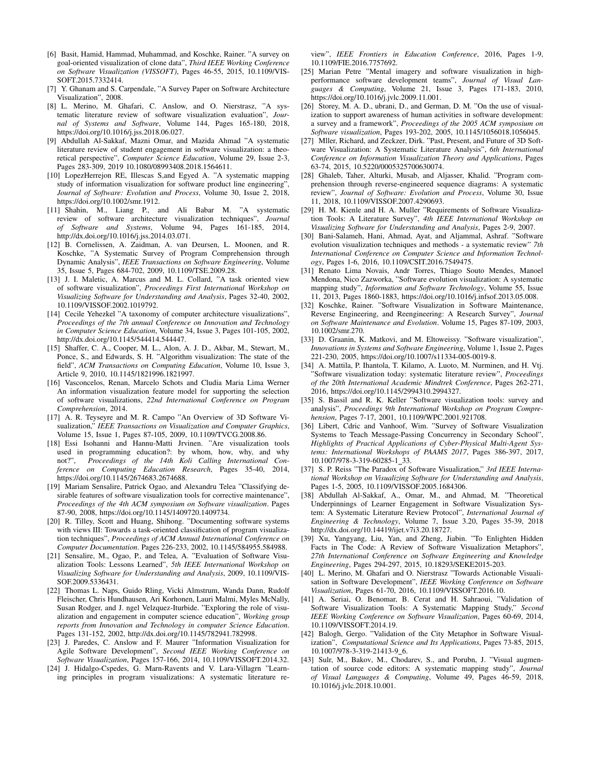- [6] Basit, Hamid, Hammad, Muhammad, and Koschke, Rainer. "A survey on goal-oriented visualization of clone data", *Third IEEE Working Conference on Software Visualization (VISSOFT)*, Pages 46-55, 2015, 10.1109/VIS-SOFT.2015.7332414.
- [7] Y. Ghanam and S. Carpendale, "A Survey Paper on Software Architecture Visualization", 2008.
- [8] L. Merino, M. Ghafari, C. Anslow, and O. Nierstrasz, "A systematic literature review of software visualization evaluation", *Journal of Systems and Software*, Volume 144, Pages 165-180, 2018, https://doi.org/10.1016/j.jss.2018.06.027.
- [9] Abdullah Al-Sakkaf, Mazni Omar, and Mazida Ahmad "A systematic literature review of student engagement in software visualization: a theoretical perspective", *Computer Science Education*, Volume 29, Issue 2-3, Pages 283-309, 2019 10.1080/08993408.2018.1564611.
- [10] LopezHerrejon RE, Illescas S,and Egyed A. "A systematic mapping study of information visualization for software product line engineering", *Journal of Software: Evolution and Process*, Volume 30, Issue 2, 2018, https://doi.org/10.1002/smr.1912.
- [11] Shahin, M., Liang P., and Ali Babar M. "A systematic review of software architecture visualization techniques", *Journal of Software and Systems*, Volume 94, Pages 161-185, 2014, http://dx.doi.org/10.1016/j.jss.2014.03.071.
- [12] B. Cornelissen, A. Zaidman, A. van Deursen, L. Moonen, and R. Koschke, "A Systematic Survey of Program Comprehension through Dynamic Analysis", *IEEE Transactions on Software Engineering*, Volume 35, Issue 5, Pages 684-702, 2009, 10.1109/TSE.2009.28.
- [13] J. I. Maletic, A. Marcus and M. L. Collard, "A task oriented view of software visualization", *Proceedings First International Workshop on Visualizing Software for Understanding and Analysis*, Pages 32-40, 2002, 10.1109/VISSOF.2002.1019792.
- [14] Cecile Yehezkel "A taxonomy of computer architecture visualizations", *Proceedings of the 7th annual Conference on Innovation and Technology in Computer Science Education*, Volume 34, Issue 3, Pages 101-105, 2002, http://dx.doi.org/10.1145/544414.544447.
- [15] Shaffer, C. A., Cooper, M. L., Alon, A. J. D., Akbar, M., Stewart, M., Ponce, S., and Edwards, S. H. "Algorithm visualization: The state of the field", *ACM Transactions on Computing Education*, Volume 10, Issue 3, Article 9, 2010, 10.1145/1821996.1821997.
- [16] Vasconcelos, Renan, Marcelo Schots and Cludia Maria Lima Werner An information visualization feature model for supporting the selection of software visualizations, *22nd International Conference on Program Comprehension*, 2014.
- [17] A. R. Teyseyre and M. R. Campo "An Overview of 3D Software Visualization," *IEEE Transactions on Visualization and Computer Graphics*, Volume 15, Issue 1, Pages 87-105, 2009, 10.1109/TVCG.2008.86.
- [18] Essi Isohanni and Hannu-Matti Jrvinen. "Are visualization tools used in programming education?: by whom, how, why, and why not?". Proceedings of the 14th Koli Calling International Con-Proceedings of the 14th Koli Calling International Con*ference on Computing Education Research*, Pages 35-40, 2014, https://doi.org/10.1145/2674683.2674688.
- [19] Mariam Sensalire, Patrick Ogao, and Alexandru Telea "Classifying desirable features of software visualization tools for corrective maintenance", *Proceedings of the 4th ACM symposium on Software visualization*. Pages 87-90, 2008, https://doi.org/10.1145/1409720.1409734.
- [20] R. Tilley, Scott and Huang, Shihong. "Documenting software systems with views III: Towards a task-oriented classification of program visualization techniques", *Proceedings of ACM Annual International Conference on Computer Documentation*. Pages 226-233, 2002, 10.1145/584955.584988.
- [21] Sensalire, M., Ogao, P., and Telea, A. "Evaluation of Software Visualization Tools: Lessons Learned", *5th IEEE International Workshop on Visualizing Software for Understanding and Analysis*, 2009, 10.1109/VIS-SOF.2009.5336431.
- [22] Thomas L. Naps, Guido Rling, Vicki Almstrum, Wanda Dann, Rudolf Fleischer, Chris Hundhausen, Ari Korhonen, Lauri Malmi, Myles McNally, Susan Rodger, and J. ngel Velzquez-Iturbide. "Exploring the role of visualization and engagement in computer science education", *Working group reports from Innovation and Technology in computer Science Education*. Pages 131-152, 2002, http://dx.doi.org/10.1145/782941.782998.
- [23] J. Paredes, C. Anslow and F. Maurer "Information Visualization for Agile Software Development", *Second IEEE Working Conference on Software Visualization*, Pages 157-166, 2014, 10.1109/VISSOFT.2014.32.
- [24] J. Hidalgo-Cspedes, G. Marn-Ravents and V. Lara-Villagrn "Learning principles in program visualizations: A systematic literature re-

view", *IEEE Frontiers in Education Conference*, 2016, Pages 1-9, 10.1109/FIE.2016.7757692.

- [25] Marian Petre "Mental imagery and software visualization in highperformance software development teams", *Journal of Visual Languages & Computing*, Volume 21, Issue 3, Pages 171-183, 2010, https://doi.org/10.1016/j.jvlc.2009.11.001.
- [26] Storey, M. A. D., ubrani, D., and German, D. M. "On the use of visualization to support awareness of human activities in software development: a survey and a framework", *Proceedings of the 2005 ACM symposium on Software visualization*, Pages 193-202, 2005, 10.1145/1056018.1056045.
- [27] Mller, Richard, and Zeckzer, Dirk. "Past, Present, and Future of 3D Software Visualization: A Systematic Literature Analysis", *6th International Conference on Information Visualization Theory and Applications*, Pages 63-74, 2015, 10.5220/0005325700630074.
- [28] Ghaleb, Taher, Alturki, Musab, and Aljasser, Khalid. "Program comprehension through reverse-engineered sequence diagrams: A systematic review", *Journal of Software: Evolution and Process*, Volume 30, Issue 11, 2018, 10.1109/VISSOF.2007.4290693.
- [29] H. M. Kienle and H. A. Muller "Requirements of Software Visualization Tools: A Literature Survey", *4th IEEE International Workshop on Visualizing Software for Understanding and Analysis*, Pages 2-9, 2007.
- [30] Bani-Salameh, Hani, Ahmad, Ayat, and Aljammal, Ashraf. "Software evolution visualization techniques and methods - a systematic review" *7th International Conference on Computer Science and Information Technology*, Pages 1-6, 2016, 10.1109/CSIT.2016.7549475.
- [31] Renato Lima Novais, Andr Torres, Thiago Souto Mendes, Manoel Mendona, Nico Zazworka, "Software evolution visualization: A systematic mapping study", *Information and Software Technology*, Volume 55, Issue 11, 2013, Pages 1860-1883, https://doi.org/10.1016/j.infsof.2013.05.008.
- [32] Koschke, Rainer. "Software Visualization in Software Maintenance, Reverse Engineering, and Reengineering: A Research Survey", *Journal on Software Maintenance and Evolution*. Volume 15, Pages 87-109, 2003, 10.1002/smr.270.
- [33] D. Graanin, K. Matkovi, and M. Eltoweissy. "Software visualization", *Innovations in Systems and Software Engineering*, Volume 1, Issue 2, Pages 221-230, 2005, https://doi.org/10.1007/s11334-005-0019-8.
- [34] A. Mattila, P. Ihantola, T. Kilamo, A. Luoto, M. Nurminen, and H. Vtj. "Software visualization today: systematic literature review", *Proceedings of the 20th International Academic Mindtrek Conference*, Pages 262-271, 2016, https://doi.org/10.1145/2994310.2994327.
- [35] S. Bassil and R. K. Keller "Software visualization tools: survey and analysis", *Proceedings 9th International Workshop on Program Comprehension*, Pages 7-17, 2001, 10.1109/WPC.2001.921708.
- [36] Libert, Cdric and Vanhoof, Wim. "Survey of Software Visualization Systems to Teach Message-Passing Concurrency in Secondary School", *Highlights of Practical Applications of Cyber-Physical Multi-Agent Systems: International Workshops of PAAMS 2017*, Pages 386-397, 2017, 10.1007/978-3-319-60285-1 33.
- [37] S. P. Reiss "The Paradox of Software Visualization," *3rd IEEE International Workshop on Visualizing Software for Understanding and Analysis*, Pages 1-5, 2005, 10.1109/VISSOF.2005.1684306.
- [38] Abdullah Al-Sakkaf, A., Omar, M., and Ahmad, M. "Theoretical Underpinnings of Learner Engagement in Software Visualization System: A Systematic Literature Review Protocol", *International Journal of Engineering & Technology*, Volume 7, Issue 3.20, Pages 35-39, 2018 http://dx.doi.org/10.14419/ijet.v7i3.20.18727.
- [39] Xu, Yangyang, Liu, Yan, and Zheng, Jiabin. "To Enlighten Hidden Facts in The Code: A Review of Software Visualization Metaphors", *27th International Conference on Software Engineering and Knowledge Engineering*, Pages 294-297, 2015, 10.18293/SEKE2015-203.
- [40] L. Merino, M. Ghafari and O. Nierstrasz "Towards Actionable Visualisation in Software Development", *IEEE Working Conference on Software Visualization*, Pages 61-70, 2016, 10.1109/VISSOFT.2016.10.
- [41] A. Seriai, O. Benomar, B. Cerat and H. Sahraoui, "Validation of Software Visualization Tools: A Systematic Mapping Study," *Second IEEE Working Conference on Software Visualization*, Pages 60-69, 2014, 10.1109/VISSOFT.2014.19.
- [42] Balogh, Gergo. "Validation of the City Metaphor in Software Visualization", *Computational Science and Its Applications*, Pages 73-85, 2015, 10.1007/978-3-319-21413-9 6.
- [43] Sulr, M., Bakov, M., Chodarev, S., and Porubn, J. "Visual augmentation of source code editors: A systematic mapping study", *Journal of Visual Languages & Computing*, Volume 49, Pages 46-59, 2018, 10.1016/j.jvlc.2018.10.001.